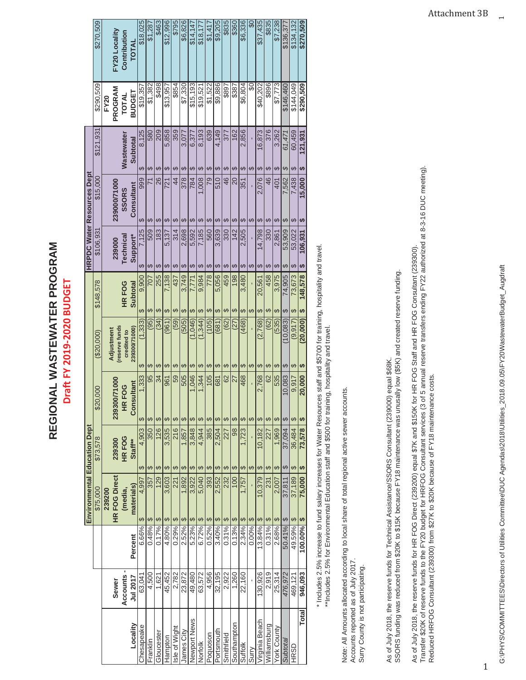| - WASTEWATER PROGRAN | ≘<br>$-019 - 207$<br>$\pm$ FY 20' |
|----------------------|-----------------------------------|
| REGIONAI             |                                   |

|                     |                 |               |          | <b>Environmental Education Dept</b> |           |                     |               |                             |                      |           |           | <b>HRPDC Water Resources Dept</b> |           |                 |               |               |
|---------------------|-----------------|---------------|----------|-------------------------------------|-----------|---------------------|---------------|-----------------------------|----------------------|-----------|-----------|-----------------------------------|-----------|-----------------|---------------|---------------|
|                     |                 |               |          | \$75,000                            | \$73,578  |                     | 000.<br>\$20  | (20,000)                    | \$148,578            |           | \$106,93  | \$15,000                          |           | \$121,931       | \$290,509     | \$270,509     |
|                     |                 |               |          | 239200                              |           |                     |               |                             |                      |           |           |                                   |           |                 | FY20          |               |
|                     | <b>Sewer</b>    |               |          | <b>HR FOG Direct</b>                | 239300    |                     | 239300/71000  | reserve funds<br>Adjustment |                      |           | 239000    | 239000/71000                      |           |                 | PROGRAM       | FY20 Locality |
|                     | <b>Accounts</b> |               |          | (media,                             | HR FOG    |                     | <b>HR FOG</b> | credited to                 | <b>HRFOG</b>         |           | Technical | <b>SSORS</b>                      |           | Wastewater      | TOTAL         | Contribution  |
| Locality            | Jul 2017        | Percent       |          | materials)                          | Staff**   |                     | Consultant    | 239300/71000)               | <b>Subtotal</b>      |           | Support*  | Consultant                        |           | <b>Subtotal</b> | <b>BUDGET</b> | TOTAL         |
| Chesapeake          | 63,041          | 6.66%         | ↔        | 4,997                               | ക         | ക<br>4,903          | 1.333         | (1.333)<br>↔                | 9.900<br>ക           | ↔         | 7,125     | 999<br>↔                          | ↔         | 8,125           | \$19,357      | \$18.025      |
| Franklin            | 4,500           | 0.48%         | Ø        | 357                                 | ഗ         | ↔<br>350            | 95            | (95)<br>ക                   | 707<br>ക             | ക         | 509       | 71<br>ക                           | ക         | 580             | \$1,382       | \$1,287       |
| Gloucester          | 1,621           | 0.17%         | $\theta$ | 129                                 | ഗ         | ↔<br>126            | 34            | (34)<br>ഗ                   | 255<br>G,            | G,        | 183       | 26                                | e         | 209             | \$498         | \$463         |
| Hampton             | 45,452          | 4.80%         | <b>S</b> | 3,603                               | မာ        | ക<br>3,535          | 961           | (961)<br>ഗ                  | 7,138<br>ക           | မာ        | 5,137     | $\overline{21}$<br>ക              | ക         | 5,858           | \$13.957      | \$12,996      |
| sle of Wight        | 2,782           | 0.29%         | G        | 221                                 | ഗ         | ↮<br>216            | 59            | (59)<br>ഗ                   | 437<br>မာ            | ↔         | 314       | $\overline{4}$<br>ക               | ക         | 359             | \$854         | \$795         |
| lames City          | 23,872          | 2.52%         | ക        | 1,892                               | ക         | ക<br>1,857          | 505           | (505)<br>ക                  | 3,749<br>ക           | ക         | 2,698     | 378                               |           | 3,077           | \$7,330       | \$6,826       |
| <b>Newport News</b> | 49,480          | 5.23%         | ↮        | 3,922                               | ക         | ↔<br>3,848          | 1,046         | (1,046)<br>ക                | 7,771<br>ക           | ക         | 5,592     | 784<br>€                          | e         | 6,377           | \$15,193      | \$14,147      |
| Norfolk             | 63,572          | 6.72%         | Ø        | 5,040                               | ഗ         | ↔<br>4,944          | 1,344         | (1,344)<br>ക                | 9,984<br>↔           | ക         | 7,185     | 1,008<br>ക                        | œ         | 8,193           | \$19.521      | \$18.17       |
| oquoson             | 4,956           | 0.52%         | $\theta$ | 393                                 | မာ        | မာ<br>385           | 105           | (105)<br>↮                  | မာ                   | ↮<br>778  | 560       | ക                                 | ക<br>ρg   | 639             | \$1,522       | \$1,41        |
| ortsmouth           | 32,195          | 3.40%         | $\Theta$ | 2.552                               | ക         | ക<br>2.504          | 681           | (681)<br>ക                  | 5.056<br>↔           | ക         | 3,639     | 510<br>ക                          | ↔         | 4,149           | \$9,886       | \$9.205       |
| Smithfield          | 2,922           | 0.31%         | ക        | 232                                 |           | ↔<br>227            | 62            | (62)<br>ക                   | 459<br>ക             | ഗ         | 330       | 46                                | e         | 377             | \$897         | \$835         |
| Southampton         | 1,260           | 0.13%         | မာ       | 100                                 | မာ        | G,<br>98            | 27            | (27)<br>ഗ                   | ക                    | G,<br>198 | 142       | 20<br>e                           | e         | 162             | \$387         | \$360         |
| Suffolk             | 22,160          | 2.34%         | G        | 1,757                               | ⊷         | ⊷<br>1,723          | 468           | (468)<br>ഗ                  | 3,480<br>ക           | မာ        | 2,505     | 351<br>ക                          | ക         | 2,856           | \$6,804       | \$6,336       |
| urry                |                 | 0.00%         | Ø        |                                     | ↮         | ↮                   |               | ↮                           | ക                    | ക         |           | ക                                 | ക         |                 | မ္တ           | ౚ             |
| /irginia Beach      | 130,926         | 13.84%        | G        | 10,379                              | ↔         | ക<br>10,182         | 2,768         | (2,768)<br>ക                | 20,561<br>မာ         | ↔         | 14,798    | 2,076<br>€                        | e         | 16,873          | \$40,202      | \$37,435      |
| Williamsburg        | 2,919           | 0.31%         | ↔        | 231                                 | ക         | ↮<br>227            | 62            | (62)<br>ക                   | 458<br>e             | ക         | 330       | 46<br>e                           |           | 376             | \$896         | \$835         |
| York County         | 25,314          | 2.68%         | Ģ        | 2,007                               | ക         | ↔<br>1,969          | 535           | (535)<br>ക                  | 3,975<br>69          | ക         | 2,861     | 401<br>ക                          | ക         | 3,262           | \$7,773       | \$7,238       |
| Subtotal            | 476.972         | 50.41%        | H        | 37.811                              | ↔         | ↔<br>37,094         | 10.083        | (10.083)<br>↔               | 74,905<br>ക          | ക         | 53,909    | 7.562<br>↔                        | 69        | 61.471          | \$146.460     | \$136.37      |
| <b>HRSD</b>         | 469,121         | 49.59%        | Ø        | 37,189                              | ↔         | ക<br>36,484         | 9.917         | (9, 917)<br>↮               | 73,673<br>ക          | မာ        | 53,022    | 7.438<br>ക                        | ഗ         | 60,459          | \$144,049     | \$134,132     |
| <b>Total</b>        | 946,093         | $100.00\%$ \$ |          | 75,000                              | <b>SA</b> | <b>SA</b><br>73,578 | 20,000        | (20,000)<br>H               | 148,578<br><b>SA</b> | €Ą        | 106,931   | 15,000<br><b>GA</b>               | <b>SA</b> | 121,931         | \$290,509     | \$270,509     |
|                     |                 |               |          |                                     |           |                     |               |                             |                      |           |           |                                   |           |                 |               |               |

\* Includes 2.5% increase to fund salary increases for Water Resources staff and \$5700 for training, hospitality and travel. \* Includes 2.5% increase to fund salary increases for Water Resources staff and \$5700 for training, hospitality and travel. \*\*Includes 2.5% for Environmental Education staff and \$500 for training, hospitality and travel. \*\*Includes 2.5% for Environmental Education staff and \$500 for training, hospitality and travel.

Note: All Amounts allocated according to local share of total regional active sewer accounts. Note: All Amounts allocated according to local share of total regional active sewer accounts. Accounts reported as of July 2017.

Accounts reported as of July 2017.<br>Surry County is not participating. Surry County is not participating. As of July 2018, the reserve funds for Technical Assistance/SSORS Consultant (239000) equal \$68K.<br>SSORS funding was reduced from \$20K to \$15K because FY18 maintenance was unusally low (\$5K) and created reserve funding. SSORS funding was reduced from \$20K to \$15K because FY18 maintenance was unusally low (\$5K) and created reserve funding. As of July 2018, the reserve funds for Technical Assistance/SSORS Consultant (239000) equal \$68K.

Transfer \$20K of reserve funds to the FY20 budget for HRFOG Consultant services (3 of 5 annual reserve transfers ending FY22 authorized at 8-3-16 DUC meeting). As of July 2018, the reserve funds for HR FOG Direct (239200) equal \$7K and \$150K for HR FOG Staff and HR FOG Consultant (239300).<br>Transfer \$20K of reserve funds to the FY20 budget for HRFOG Consultant services (3 of 5 ann As of July 2018, the reserve funds for HR FOG Direct (239200) equal \$7K and \$150K for HR FOG Staff and HR FOG Consultant (239300). Reduced HRFOG Consultant (239300) from \$27K to \$20K because of FY18 maintenance costs.

1